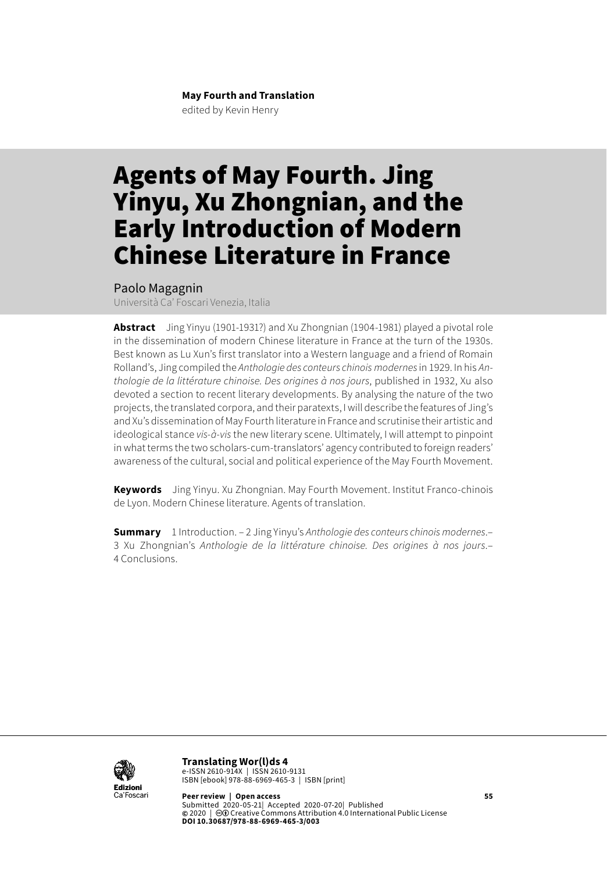#### **May Fourth and Translation** edited by Kevin Henry

# Agents of May Fourth. Jing Yinyu, Xu Zhongnian, and the Early Introduction of Modern Chinese Literature in France

Paolo Magagnin

Università Ca' Foscari Venezia, Italia

**Abstract** Jing Yinyu (1901-1931?) and Xu Zhongnian (1904-1981) played a pivotal role in the dissemination of modern Chinese literature in France at the turn of the 1930s. Best known as Lu Xun's first translator into a Western language and a friend of Romain Rolland's, Jing compiled the *Anthologie des conteurs chinois modernes*in 1929. In his *Anthologie de la littérature chinoise. Des origines à nos jours*, published in 1932, Xu also devoted a section to recent literary developments. By analysing the nature of the two projects, the translated corpora, and their paratexts, I will describe the features of Jing's and Xu's dissemination of May Fourth literature in France and scrutinise their artistic and ideological stance *vis-à-vis* the new literary scene. Ultimately, I will attempt to pinpoint in what terms the two scholars-cum-translators' agency contributed to foreign readers' awareness of the cultural, social and political experience of the May Fourth Movement.

**Keywords** Jing Yinyu. Xu Zhongnian. May Fourth Movement. Institut Franco-chinois de Lyon. Modern Chinese literature. Agents of translation.

**Summary** [1 Introduction](#page-1-0). – 2 Jing Yinyu's *[Anthologie des conteurs chinois modernes](#page-2-0)*.– 3 Xu Zhongnian's *[Anthologie de la littérature chinoise. Des origines à nos jours](#page-8-0)*.– [4 Conclusions](#page-14-0).



**Translating Wor(l)ds 4** e-ISSN 2610-914X | ISSN 2610-9131 ISBN [ebook] 978-88-6969-465-3 | ISBN [print]

**Peer review | Open access 55** Submitted 2020-05-21| Accepted 2020-07-20| Published<br>© 2020 | <mark>©®</mark> Creative Commons Attribution 4.0 International Public License **DOI 10.30687/978-88-6969-465-3/003**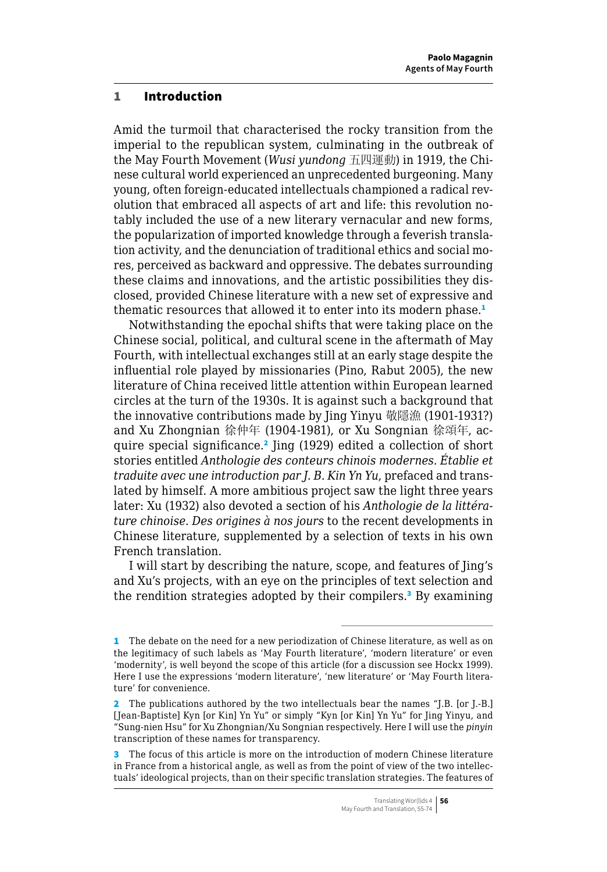#### <span id="page-1-0"></span>1 Introduction

Amid the turmoil that characterised the rocky transition from the imperial to the republican system, culminating in the outbreak of the May Fourth Movement (*Wusi yundong* 五四運動) in 1919, the Chinese cultural world experienced an unprecedented burgeoning. Many young, often foreign-educated intellectuals championed a radical revolution that embraced all aspects of art and life: this revolution notably included the use of a new literary vernacular and new forms, the popularization of imported knowledge through a feverish translation activity, and the denunciation of traditional ethics and social mores, perceived as backward and oppressive. The debates surrounding these claims and innovations, and the artistic possibilities they disclosed, provided Chinese literature with a new set of expressive and thematic resources that allowed it to enter into its modern phase.<sup>1</sup>

Notwithstanding the epochal shifts that were taking place on the Chinese social, political, and cultural scene in the aftermath of May Fourth, with intellectual exchanges still at an early stage despite the influential role played by missionaries (Pino, Rabut 2005), the new literature of China received little attention within European learned circles at the turn of the 1930s. It is against such a background that the innovative contributions made by Jing Yinyu 敬隱漁 (1901-1931?) and Xu Zhongnian 徐仲年 (1904-1981), or Xu Songnian 徐頌年, acquire special significance.<sup>2</sup> Jing (1929) edited a collection of short stories entitled *Anthologie des conteurs chinois modernes. Établie et traduite avec une introduction par J. B. Kin Yn Yu*, prefaced and translated by himself. A more ambitious project saw the light three years later: Xu (1932) also devoted a section of his *Anthologie de la littérature chinoise. Des origines à nos jours* to the recent developments in Chinese literature, supplemented by a selection of texts in his own French translation.

I will start by describing the nature, scope, and features of Jing's and Xu's projects, with an eye on the principles of text selection and the rendition strategies adopted by their compilers.<sup>3</sup> By examining

<sup>1</sup> The debate on the need for a new periodization of Chinese literature, as well as on the legitimacy of such labels as 'May Fourth literature', 'modern literature' or even 'modernity', is well beyond the scope of this article (for a discussion see Hockx 1999). Here I use the expressions 'modern literature', 'new literature' or 'May Fourth literature' for convenience.

<sup>2</sup> The publications authored by the two intellectuals bear the names "J.B. [or J.-B.] [Jean-Baptiste] Kyn [or Kin] Yn Yu" or simply "Kyn [or Kin] Yn Yu" for Jing Yinyu, and "Sung-nien Hsu" for Xu Zhongnian/Xu Songnian respectively. Here I will use the *pinyin* transcription of these names for transparency.

<sup>3</sup> The focus of this article is more on the introduction of modern Chinese literature in France from a historical angle, as well as from the point of view of the two intellectuals' ideological projects, than on their specific translation strategies. The features of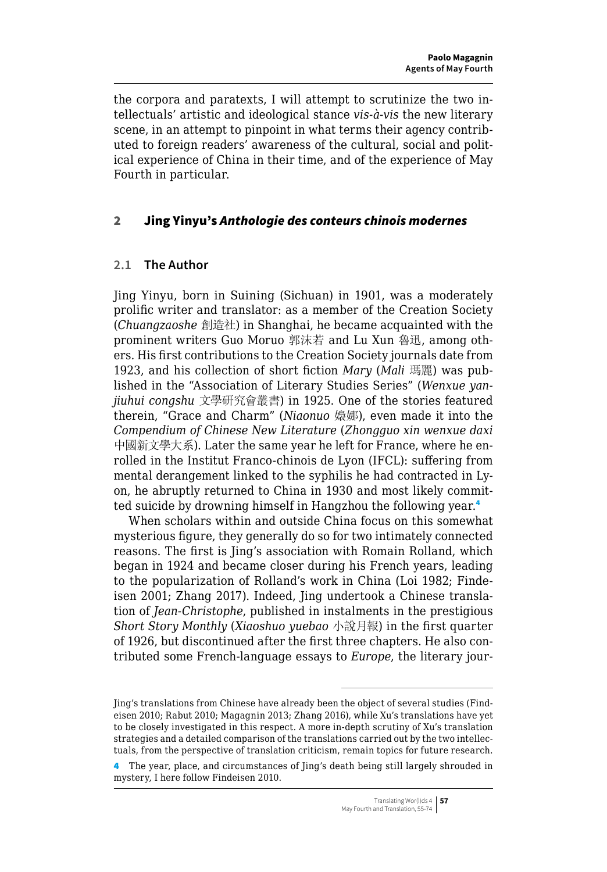<span id="page-2-0"></span>the corpora and paratexts, I will attempt to scrutinize the two intellectuals' artistic and ideological stance *vis-à-vis* the new literary scene, in an attempt to pinpoint in what terms their agency contributed to foreign readers' awareness of the cultural, social and political experience of China in their time, and of the experience of May Fourth in particular.

### 2 Jing Yinyu's *Anthologie des conteurs chinois modernes*

### **2.1 The Author**

Jing Yinyu, born in Suining (Sichuan) in 1901, was a moderately prolific writer and translator: as a member of the Creation Society (*Chuangzaoshe* 創造社) in Shanghai, he became acquainted with the prominent writers Guo Moruo 郭沫若 and Lu Xun 魯迅, among others. His first contributions to the Creation Society journals date from 1923, and his collection of short fiction *Mary* (*Mali* 瑪麗) was published in the "Association of Literary Studies Series" (*Wenxue yanjiuhui congshu* 文學研究會叢書) in 1925. One of the stories featured therein, "Grace and Charm" (*Niaonuo* 嬝娜), even made it into the *Compendium of Chinese New Literature* (*Zhongguo xin wenxue daxi* 中國新文學大系). Later the same year he left for France, where he enrolled in the Institut Franco-chinois de Lyon (IFCL): suffering from mental derangement linked to the syphilis he had contracted in Lyon, he abruptly returned to China in 1930 and most likely committed suicide by drowning himself in Hangzhou the following year.<sup>4</sup>

When scholars within and outside China focus on this somewhat mysterious figure, they generally do so for two intimately connected reasons. The first is Jing's association with Romain Rolland, which began in 1924 and became closer during his French years, leading to the popularization of Rolland's work in China (Loi 1982; Findeisen 2001; Zhang 2017). Indeed, Jing undertook a Chinese translation of *Jean-Christophe*, published in instalments in the prestigious *Short Story Monthly* (*Xiaoshuo yuebao* 小說月報) in the first quarter of 1926, but discontinued after the first three chapters. He also contributed some French-language essays to *Europe*, the literary jour-

Jing's translations from Chinese have already been the object of several studies (Findeisen 2010; Rabut 2010; Magagnin 2013; Zhang 2016), while Xu's translations have yet to be closely investigated in this respect. A more in-depth scrutiny of Xu's translation strategies and a detailed comparison of the translations carried out by the two intellectuals, from the perspective of translation criticism, remain topics for future research.

<sup>4</sup> The year, place, and circumstances of Jing's death being still largely shrouded in mystery, I here follow Findeisen 2010.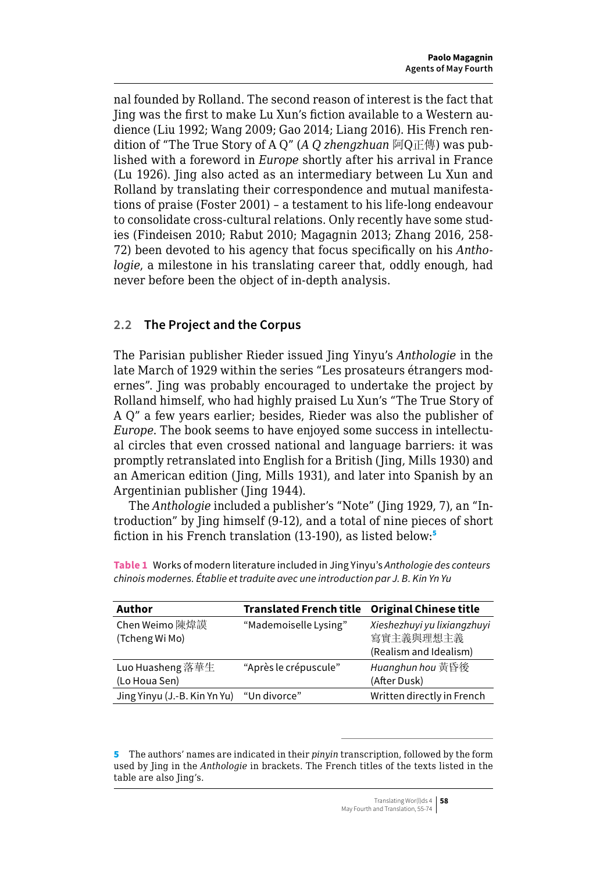nal founded by Rolland. The second reason of interest is the fact that Jing was the first to make Lu Xun's fiction available to a Western audience (Liu 1992; Wang 2009; Gao 2014; Liang 2016). His French rendition of "The True Story of A Q" (*A Q zhengzhuan* 阿Q正傳) was published with a foreword in *Europe* shortly after his arrival in France (Lu 1926). Jing also acted as an intermediary between Lu Xun and Rolland by translating their correspondence and mutual manifestations of praise (Foster 2001) – a testament to his life-long endeavour to consolidate cross-cultural relations. Only recently have some studies (Findeisen 2010; Rabut 2010; Magagnin 2013; Zhang 2016, 258- 72) been devoted to his agency that focus specifically on his *Anthologie*, a milestone in his translating career that, oddly enough, had never before been the object of in-depth analysis.

## **2.2 The Project and the Corpus**

The Parisian publisher Rieder issued Jing Yinyu's *Anthologie* in the late March of 1929 within the series "Les prosateurs étrangers modernes". Jing was probably encouraged to undertake the project by Rolland himself, who had highly praised Lu Xun's "The True Story of A Q" a few years earlier; besides, Rieder was also the publisher of *Europe*. The book seems to have enjoyed some success in intellectual circles that even crossed national and language barriers: it was promptly retranslated into English for a British (Jing, Mills 1930) and an American edition (Jing, Mills 1931), and later into Spanish by an Argentinian publisher (Jing 1944).

The *Anthologie* included a publisher's "Note" (Jing 1929, 7), an "Introduction" by Jing himself (9-12), and a total of nine pieces of short fiction in his French translation (13-190), as listed below:<sup>5</sup>

| Author                            | <b>Translated French title</b> | <b>Original Chinese title</b>                                      |
|-----------------------------------|--------------------------------|--------------------------------------------------------------------|
| Chen Weimo 陳煒謨<br>(Tcheng Wi Mo)  | "Mademoiselle Lysing"          | Xieshezhuyi yu lixiangzhuyi<br>寫實主義與理想主義<br>(Realism and Idealism) |
| Luo Huasheng 落華生<br>(Lo Houa Sen) | "Après le crépuscule"          | Huanghun hou 黄昏後<br>(After Dusk)                                   |
| Jing Yinyu (J.-B. Kin Yn Yu)      | "Un divorce"                   | Written directly in French                                         |

**Table 1** Works of modern literature included in Jing Yinyu's *Anthologie des conteurs chinois modernes. Établie et traduite avec une introduction par J. B. Kin Yn Yu*

<sup>5</sup> The authors' names are indicated in their *pinyin* transcription, followed by the form used by Jing in the *Anthologie* in brackets. The French titles of the texts listed in the table are also Jing's.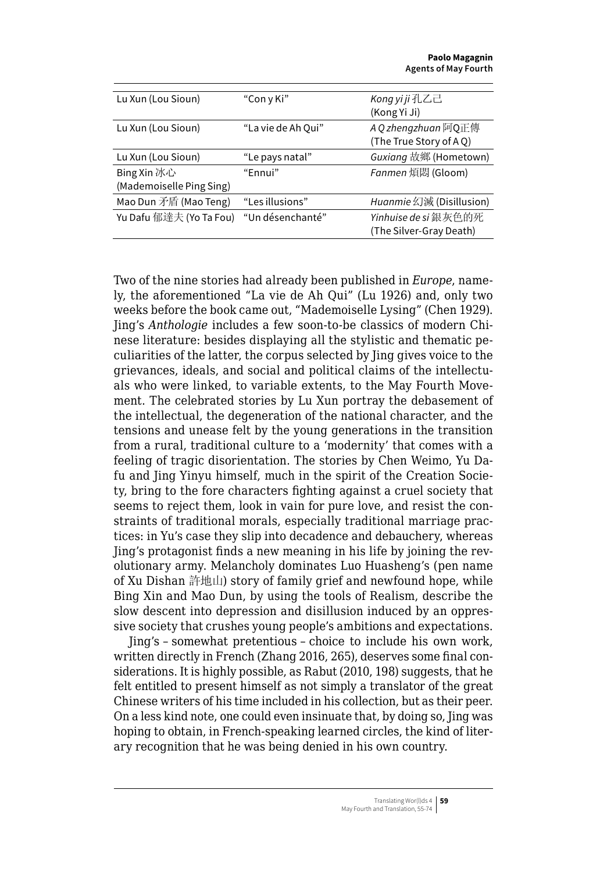| Lu Xun (Lou Sioun)       | "Con y Ki"         | Kong yi ji 孔乙己           |
|--------------------------|--------------------|--------------------------|
|                          |                    | (Kong Yi Ji)             |
| Lu Xun (Lou Sioun)       | "La vie de Ah Qui" | A Q zhengzhuan 阿Q正傳      |
|                          |                    | (The True Story of AQ)   |
| Lu Xun (Lou Sioun)       | "Le pays natal"    | Guxiang 故鄉 (Hometown)    |
| Bing Xin 冰心              | "Fnnui"            | Fanmen 煩悶 (Gloom)        |
| (Mademoiselle Ping Sing) |                    |                          |
| Mao Dun 矛盾 (Mao Teng)    | "Les illusions"    | Huanmie 幻滅 (Disillusion) |
| Yu Dafu 郁達夫 (Yo Ta Fou)  | "Un désenchanté"   | Yinhuise de si 銀灰色的死     |
|                          |                    | (The Silver-Gray Death)  |
|                          |                    |                          |

Two of the nine stories had already been published in *Europe*, namely, the aforementioned "La vie de Ah Qui" (Lu 1926) and, only two weeks before the book came out, "Mademoiselle Lysing" (Chen 1929). Jing's *Anthologie* includes a few soon-to-be classics of modern Chinese literature: besides displaying all the stylistic and thematic peculiarities of the latter, the corpus selected by Jing gives voice to the grievances, ideals, and social and political claims of the intellectuals who were linked, to variable extents, to the May Fourth Movement. The celebrated stories by Lu Xun portray the debasement of the intellectual, the degeneration of the national character, and the tensions and unease felt by the young generations in the transition from a rural, traditional culture to a 'modernity' that comes with a feeling of tragic disorientation. The stories by Chen Weimo, Yu Dafu and Jing Yinyu himself, much in the spirit of the Creation Society, bring to the fore characters fighting against a cruel society that seems to reject them, look in vain for pure love, and resist the constraints of traditional morals, especially traditional marriage practices: in Yu's case they slip into decadence and debauchery, whereas Jing's protagonist finds a new meaning in his life by joining the revolutionary army. Melancholy dominates Luo Huasheng's (pen name of Xu Dishan 許地山) story of family grief and newfound hope, while Bing Xin and Mao Dun, by using the tools of Realism, describe the slow descent into depression and disillusion induced by an oppressive society that crushes young people's ambitions and expectations.

Jing's – somewhat pretentious – choice to include his own work, written directly in French (Zhang 2016, 265), deserves some final considerations. It is highly possible, as Rabut (2010, 198) suggests, that he felt entitled to present himself as not simply a translator of the great Chinese writers of his time included in his collection, but as their peer. On a less kind note, one could even insinuate that, by doing so, Jing was hoping to obtain, in French-speaking learned circles, the kind of literary recognition that he was being denied in his own country.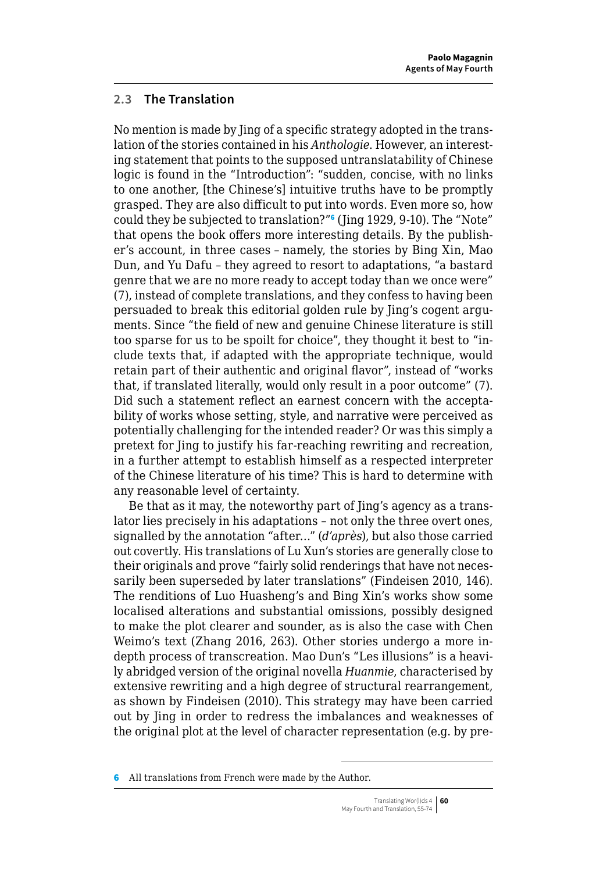## **2.3 The Translation**

No mention is made by Jing of a specific strategy adopted in the translation of the stories contained in his *Anthologie*. However, an interesting statement that points to the supposed untranslatability of Chinese logic is found in the "Introduction": "sudden, concise, with no links to one another, [the Chinese's] intuitive truths have to be promptly grasped. They are also difficult to put into words. Even more so, how could they be subjected to translation?"<sup>6</sup> (Jing 1929, 9-10). The "Note" that opens the book offers more interesting details. By the publisher's account, in three cases – namely, the stories by Bing Xin, Mao Dun, and Yu Dafu – they agreed to resort to adaptations, "a bastard genre that we are no more ready to accept today than we once were" (7), instead of complete translations, and they confess to having been persuaded to break this editorial golden rule by Jing's cogent arguments. Since "the field of new and genuine Chinese literature is still too sparse for us to be spoilt for choice", they thought it best to "include texts that, if adapted with the appropriate technique, would retain part of their authentic and original flavor", instead of "works that, if translated literally, would only result in a poor outcome" (7). Did such a statement reflect an earnest concern with the acceptability of works whose setting, style, and narrative were perceived as potentially challenging for the intended reader? Or was this simply a pretext for Jing to justify his far-reaching rewriting and recreation, in a further attempt to establish himself as a respected interpreter of the Chinese literature of his time? This is hard to determine with any reasonable level of certainty.

Be that as it may, the noteworthy part of Jing's agency as a translator lies precisely in his adaptations – not only the three overt ones, signalled by the annotation "after…" (*d'après*), but also those carried out covertly. His translations of Lu Xun's stories are generally close to their originals and prove "fairly solid renderings that have not necessarily been superseded by later translations" (Findeisen 2010, 146). The renditions of Luo Huasheng's and Bing Xin's works show some localised alterations and substantial omissions, possibly designed to make the plot clearer and sounder, as is also the case with Chen Weimo's text (Zhang 2016, 263). Other stories undergo a more indepth process of transcreation. Mao Dun's "Les illusions" is a heavily abridged version of the original novella *Huanmie*, characterised by extensive rewriting and a high degree of structural rearrangement, as shown by Findeisen (2010). This strategy may have been carried out by Jing in order to redress the imbalances and weaknesses of the original plot at the level of character representation (e.g. by pre-

<sup>6</sup> All translations from French were made by the Author.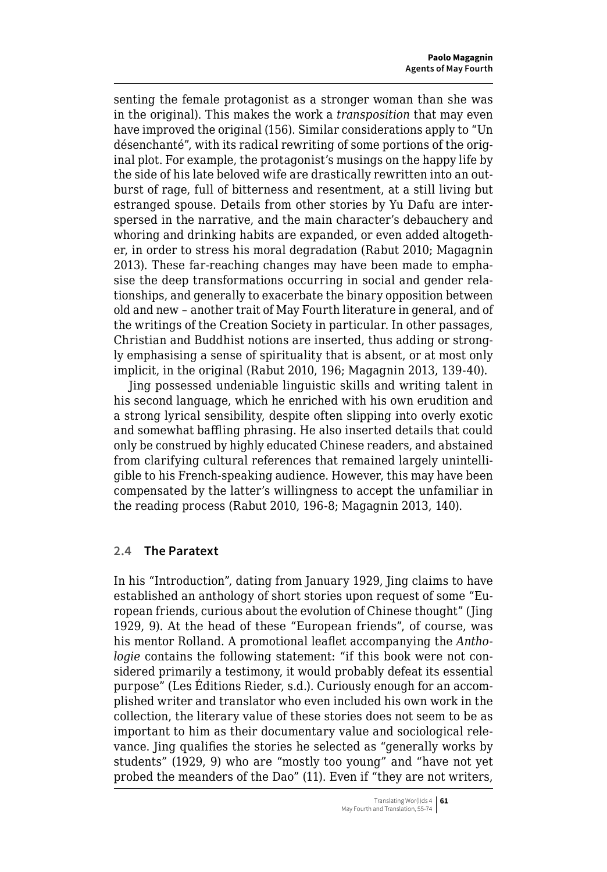senting the female protagonist as a stronger woman than she was in the original). This makes the work a *transposition* that may even have improved the original (156). Similar considerations apply to "Un désenchanté", with its radical rewriting of some portions of the original plot. For example, the protagonist's musings on the happy life by the side of his late beloved wife are drastically rewritten into an outburst of rage, full of bitterness and resentment, at a still living but estranged spouse. Details from other stories by Yu Dafu are interspersed in the narrative, and the main character's debauchery and whoring and drinking habits are expanded, or even added altogether, in order to stress his moral degradation (Rabut 2010; Magagnin 2013). These far-reaching changes may have been made to emphasise the deep transformations occurring in social and gender relationships, and generally to exacerbate the binary opposition between old and new – another trait of May Fourth literature in general, and of the writings of the Creation Society in particular. In other passages, Christian and Buddhist notions are inserted, thus adding or strongly emphasising a sense of spirituality that is absent, or at most only implicit, in the original (Rabut 2010, 196; Magagnin 2013, 139-40).

Jing possessed undeniable linguistic skills and writing talent in his second language, which he enriched with his own erudition and a strong lyrical sensibility, despite often slipping into overly exotic and somewhat baffling phrasing. He also inserted details that could only be construed by highly educated Chinese readers, and abstained from clarifying cultural references that remained largely unintelligible to his French-speaking audience. However, this may have been compensated by the latter's willingness to accept the unfamiliar in the reading process (Rabut 2010, 196-8; Magagnin 2013, 140).

#### **2.4 The Paratext**

In his "Introduction", dating from January 1929, Jing claims to have established an anthology of short stories upon request of some "European friends, curious about the evolution of Chinese thought" (Jing 1929, 9). At the head of these "European friends", of course, was his mentor Rolland. A promotional leaflet accompanying the *Anthologie* contains the following statement: "if this book were not considered primarily a testimony, it would probably defeat its essential purpose" (Les Éditions Rieder, s.d.). Curiously enough for an accomplished writer and translator who even included his own work in the collection, the literary value of these stories does not seem to be as important to him as their documentary value and sociological relevance. Jing qualifies the stories he selected as "generally works by students" (1929, 9) who are "mostly too young" and "have not yet probed the meanders of the Dao" (11). Even if "they are not writers,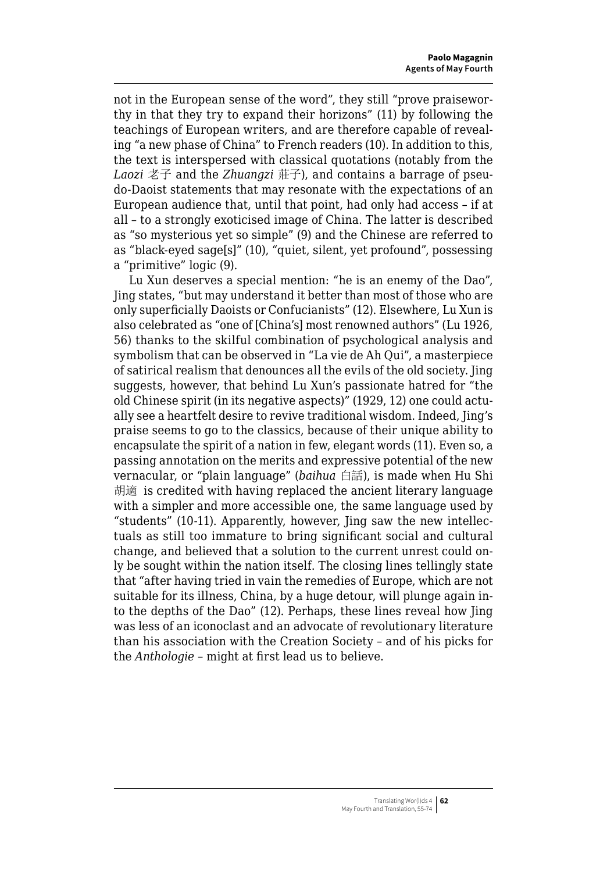not in the European sense of the word", they still "prove praiseworthy in that they try to expand their horizons" (11) by following the teachings of European writers, and are therefore capable of revealing "a new phase of China" to French readers (10). In addition to this, the text is interspersed with classical quotations (notably from the *Laozi* 老子 and the *Zhuangzi* 莊子), and contains a barrage of pseudo-Daoist statements that may resonate with the expectations of an European audience that, until that point, had only had access – if at all – to a strongly exoticised image of China. The latter is described as "so mysterious yet so simple" (9) and the Chinese are referred to as "black-eyed sage[s]" (10), "quiet, silent, yet profound", possessing a "primitive" logic (9).

Lu Xun deserves a special mention: "he is an enemy of the Dao", Jing states, "but may understand it better than most of those who are only superficially Daoists or Confucianists" (12). Elsewhere, Lu Xun is also celebrated as "one of [China's] most renowned authors" (Lu 1926, 56) thanks to the skilful combination of psychological analysis and symbolism that can be observed in "La vie de Ah Qui", a masterpiece of satirical realism that denounces all the evils of the old society. Jing suggests, however, that behind Lu Xun's passionate hatred for "the old Chinese spirit (in its negative aspects)" (1929, 12) one could actually see a heartfelt desire to revive traditional wisdom. Indeed, Jing's praise seems to go to the classics, because of their unique ability to encapsulate the spirit of a nation in few, elegant words (11). Even so, a passing annotation on the merits and expressive potential of the new vernacular, or "plain language" (*baihua* 白話), is made when Hu Shi 胡適 is credited with having replaced the ancient literary language with a simpler and more accessible one, the same language used by "students" (10-11). Apparently, however, Jing saw the new intellectuals as still too immature to bring significant social and cultural change, and believed that a solution to the current unrest could only be sought within the nation itself. The closing lines tellingly state that "after having tried in vain the remedies of Europe, which are not suitable for its illness, China, by a huge detour, will plunge again into the depths of the Dao" (12). Perhaps, these lines reveal how Jing was less of an iconoclast and an advocate of revolutionary literature than his association with the Creation Society – and of his picks for the *Anthologie* – might at first lead us to believe.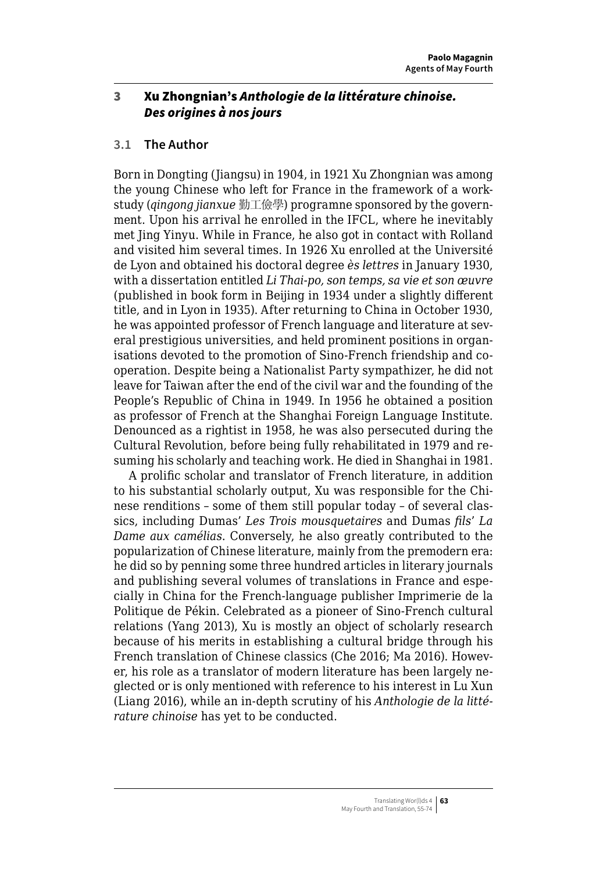## <span id="page-8-0"></span>3 Xu Zhongnian's *Anthologie de la littérature chinoise. Des origines à nos jours*

### **3.1 The Author**

Born in Dongting (Jiangsu) in 1904, in 1921 Xu Zhongnian was among the young Chinese who left for France in the framework of a workstudy (*qingong jianxue* 勤工儉學) programne sponsored by the government. Upon his arrival he enrolled in the IFCL, where he inevitably met Jing Yinyu. While in France, he also got in contact with Rolland and visited him several times. In 1926 Xu enrolled at the Université de Lyon and obtained his doctoral degree *ès lettres* in January 1930, with a dissertation entitled *Li Thai-po, son temps, sa vie et son œuvre* (published in book form in Beijing in 1934 under a slightly different title, and in Lyon in 1935). After returning to China in October 1930, he was appointed professor of French language and literature at several prestigious universities, and held prominent positions in organisations devoted to the promotion of Sino-French friendship and cooperation. Despite being a Nationalist Party sympathizer, he did not leave for Taiwan after the end of the civil war and the founding of the People's Republic of China in 1949. In 1956 he obtained a position as professor of French at the Shanghai Foreign Language Institute. Denounced as a rightist in 1958, he was also persecuted during the Cultural Revolution, before being fully rehabilitated in 1979 and resuming his scholarly and teaching work. He died in Shanghai in 1981.

A prolific scholar and translator of French literature, in addition to his substantial scholarly output, Xu was responsible for the Chinese renditions – some of them still popular today – of several classics, including Dumas' *Les Trois mousquetaires* and Dumas *fils*' *La Dame aux camélias*. Conversely, he also greatly contributed to the popularization of Chinese literature, mainly from the premodern era: he did so by penning some three hundred articles in literary journals and publishing several volumes of translations in France and especially in China for the French-language publisher Imprimerie de la Politique de Pékin. Celebrated as a pioneer of Sino-French cultural relations (Yang 2013), Xu is mostly an object of scholarly research because of his merits in establishing a cultural bridge through his French translation of Chinese classics (Che 2016; Ma 2016). However, his role as a translator of modern literature has been largely neglected or is only mentioned with reference to his interest in Lu Xun (Liang 2016), while an in-depth scrutiny of his *Anthologie de la littérature chinoise* has yet to be conducted.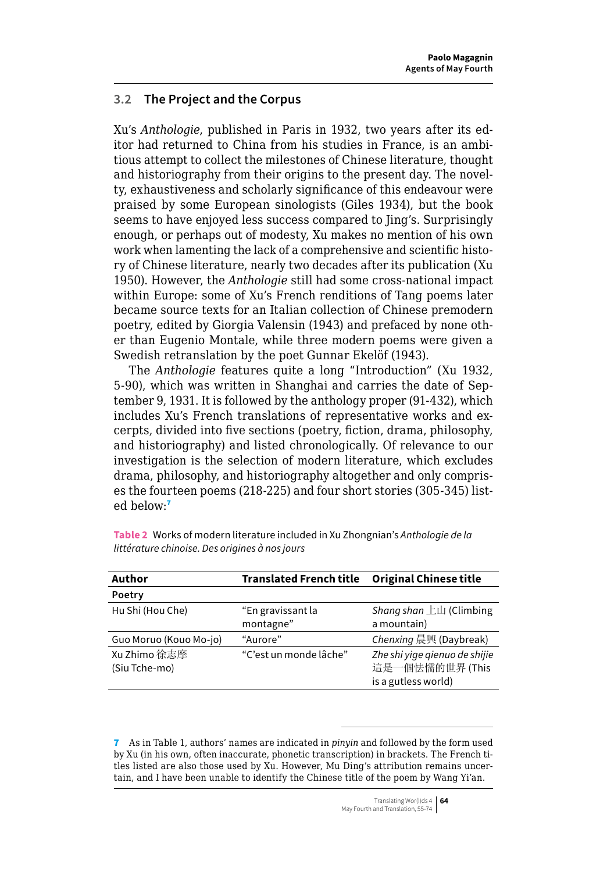### **3.2 The Project and the Corpus**

Xu's *Anthologie*, published in Paris in 1932, two years after its editor had returned to China from his studies in France, is an ambitious attempt to collect the milestones of Chinese literature, thought and historiography from their origins to the present day. The novelty, exhaustiveness and scholarly significance of this endeavour were praised by some European sinologists (Giles 1934), but the book seems to have enjoyed less success compared to Jing's. Surprisingly enough, or perhaps out of modesty, Xu makes no mention of his own work when lamenting the lack of a comprehensive and scientific history of Chinese literature, nearly two decades after its publication (Xu 1950). However, the *Anthologie* still had some cross-national impact within Europe: some of Xu's French renditions of Tang poems later became source texts for an Italian collection of Chinese premodern poetry, edited by Giorgia Valensin (1943) and prefaced by none other than Eugenio Montale, while three modern poems were given a Swedish retranslation by the poet Gunnar Ekelöf (1943).

The *Anthologie* features quite a long "Introduction" (Xu 1932, 5-90), which was written in Shanghai and carries the date of September 9, 1931. It is followed by the anthology proper (91-432), which includes Xu's French translations of representative works and excerpts, divided into five sections (poetry, fiction, drama, philosophy, and historiography) and listed chronologically. Of relevance to our investigation is the selection of modern literature, which excludes drama, philosophy, and historiography altogether and only comprises the fourteen poems (218-225) and four short stories (305-345) listed below:<sup>7</sup>

| Author                        | <b>Translated French title</b> | <b>Original Chinese title</b>                                          |
|-------------------------------|--------------------------------|------------------------------------------------------------------------|
| Poetry                        |                                |                                                                        |
| Hu Shi (Hou Che)              | "En gravissant la<br>montagne" | Shang shan $\pm \mathbf{I}$ (Climbing<br>a mountain)                   |
| Guo Moruo (Kouo Mo-io)        | "Aurore"                       | Chenxing 晨興 (Daybreak)                                                 |
| Xu Zhimo 徐志摩<br>(Siu Tche-mo) | "C'est un monde lâche"         | Zhe shi yiqe gienuo de shijie<br>這是一個怯懦的世界(This<br>is a gutless world) |

**Table 2** Works of modern literature included in Xu Zhongnian's *Anthologie de la littérature chinoise. Des origines à nos jours*

7 As in Table 1, authors' names are indicated in *pinyin* and followed by the form used by Xu (in his own, often inaccurate, phonetic transcription) in brackets. The French titles listed are also those used by Xu. However, Mu Ding's attribution remains uncertain, and I have been unable to identify the Chinese title of the poem by Wang Yi'an.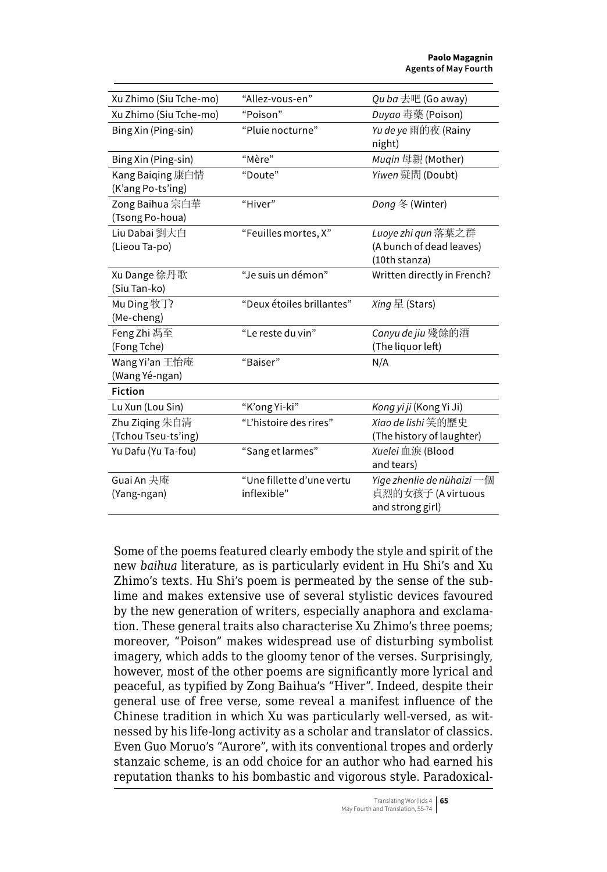| Xu Zhimo (Siu Tche-mo)                | "Allez-vous-en"                          | Qu ba 去吧 (Go away)                                                   |
|---------------------------------------|------------------------------------------|----------------------------------------------------------------------|
| Xu Zhimo (Siu Tche-mo)                | "Poison"                                 | Duyao 毒藥 (Poison)                                                    |
| Bing Xin (Ping-sin)                   | "Pluie nocturne"                         | Yu de ye 雨的夜 (Rainy<br>night)                                        |
| Bing Xin (Ping-sin)                   | "Mère"                                   | <i>Muqin</i> 母親 (Mother)                                             |
| Kang Baiqing 康白情<br>(K'ang Po-ts'ing) | "Doute"                                  | Yiwen 疑問 (Doubt)                                                     |
| Zong Baihua 宗白華<br>(Tsong Po-houa)    | "Hiver"                                  | Dong 冬 (Winter)                                                      |
| Liu Dabai 劉大白<br>(Lieou Ta-po)        | "Feuilles mortes, X"                     | Luove zhi qun 落葉之群<br>(A bunch of dead leaves)<br>(10th stanza)      |
| Xu Dange 徐丹歌<br>(Siu Tan-ko)          | "Je suis un démon"                       | Written directly in French?                                          |
| Mu Ding 牧丁?<br>(Me-cheng)             | "Deux étoiles brillantes"                | Xing 星 (Stars)                                                       |
| Feng Zhi 馮至<br>(Fong Tche)            | "Le reste du vin"                        | Canyu de jiu 殘餘的酒<br>(The liquor left)                               |
| Wang Yi'an 王怡庵<br>(Wang Yé-ngan)      | "Baiser"                                 | N/A                                                                  |
| <b>Fiction</b>                        |                                          |                                                                      |
| Lu Xun (Lou Sin)                      | "K'ong Yi-ki"                            | Kong yi ji (Kong Yi Ji)                                              |
| Zhu Ziqing 朱自清<br>(Tchou Tseu-ts'ing) | "L'histoire des rires"                   | Xiao de lishi 笑的歷史<br>(The history of laughter)                      |
| Yu Dafu (Yu Ta-fou)                   | "Sang et larmes"                         | Xuelei 血淚 (Blood<br>and tears)                                       |
| Guai An 夬庵<br>(Yang-ngan)             | "Une fillette d'une vertu<br>inflexible" | Yiqe zhenlie de nühaizi 一個<br>貞烈的女孩子 (A virtuous<br>and strong girl) |

Some of the poems featured clearly embody the style and spirit of the new *baihua* literature, as is particularly evident in Hu Shi's and Xu Zhimo's texts. Hu Shi's poem is permeated by the sense of the sublime and makes extensive use of several stylistic devices favoured by the new generation of writers, especially anaphora and exclamation. These general traits also characterise Xu Zhimo's three poems; moreover, "Poison" makes widespread use of disturbing symbolist imagery, which adds to the gloomy tenor of the verses. Surprisingly, however, most of the other poems are significantly more lyrical and peaceful, as typified by Zong Baihua's "Hiver". Indeed, despite their general use of free verse, some reveal a manifest influence of the Chinese tradition in which Xu was particularly well-versed, as witnessed by his life-long activity as a scholar and translator of classics. Even Guo Moruo's "Aurore", with its conventional tropes and orderly stanzaic scheme, is an odd choice for an author who had earned his reputation thanks to his bombastic and vigorous style. Paradoxical-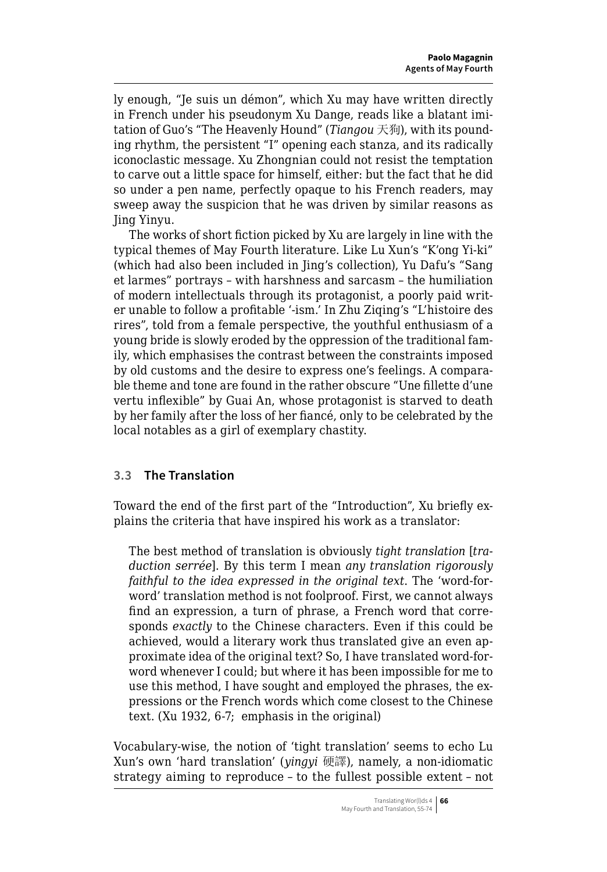ly enough, "Je suis un démon", which Xu may have written directly in French under his pseudonym Xu Dange, reads like a blatant imitation of Guo's "The Heavenly Hound" (*Tiangou* 天狗), with its pounding rhythm, the persistent "I" opening each stanza, and its radically iconoclastic message. Xu Zhongnian could not resist the temptation to carve out a little space for himself, either: but the fact that he did so under a pen name, perfectly opaque to his French readers, may sweep away the suspicion that he was driven by similar reasons as Jing Yinyu.

The works of short fiction picked by Xu are largely in line with the typical themes of May Fourth literature. Like Lu Xun's "K'ong Yi-ki" (which had also been included in Jing's collection), Yu Dafu's "Sang et larmes" portrays – with harshness and sarcasm – the humiliation of modern intellectuals through its protagonist, a poorly paid writer unable to follow a profitable '-ism.' In Zhu Ziqing's "L'histoire des rires", told from a female perspective, the youthful enthusiasm of a young bride is slowly eroded by the oppression of the traditional family, which emphasises the contrast between the constraints imposed by old customs and the desire to express one's feelings. A comparable theme and tone are found in the rather obscure "Une fillette d'une vertu inflexible" by Guai An, whose protagonist is starved to death by her family after the loss of her fiancé, only to be celebrated by the local notables as a girl of exemplary chastity.

## **3.3 The Translation**

Toward the end of the first part of the "Introduction", Xu briefly explains the criteria that have inspired his work as a translator:

The best method of translation is obviously *tight translation* [*traduction serrée*]. By this term I mean *any translation rigorously faithful to the idea expressed in the original text*. The 'word-forword' translation method is not foolproof. First, we cannot always find an expression, a turn of phrase, a French word that corresponds *exactly* to the Chinese characters. Even if this could be achieved, would a literary work thus translated give an even approximate idea of the original text? So, I have translated word-forword whenever I could; but where it has been impossible for me to use this method, I have sought and employed the phrases, the expressions or the French words which come closest to the Chinese text. (Xu 1932, 6-7; emphasis in the original)

Vocabulary-wise, the notion of 'tight translation' seems to echo Lu Xun's own 'hard translation' (*yingyi* 硬譯), namely, a non-idiomatic strategy aiming to reproduce – to the fullest possible extent – not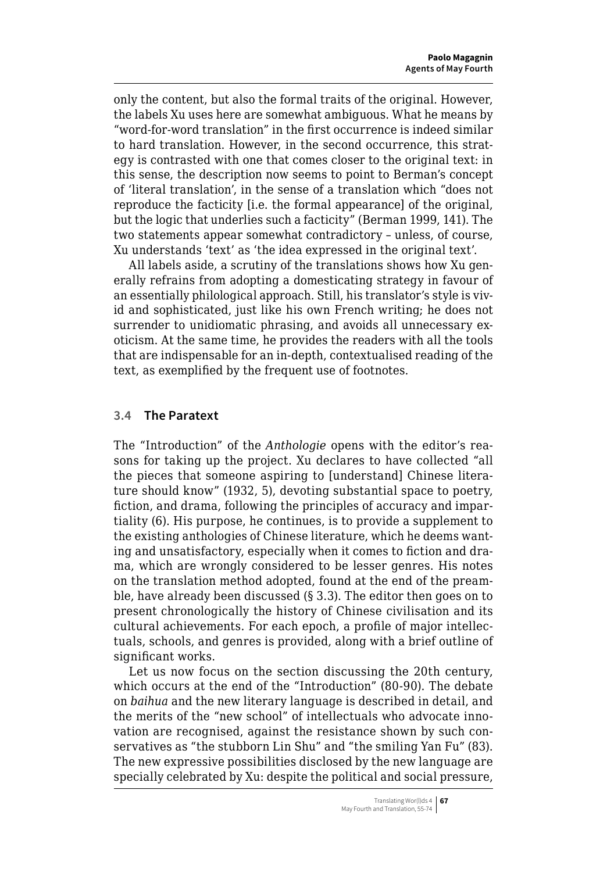only the content, but also the formal traits of the original. However, the labels Xu uses here are somewhat ambiguous. What he means by "word-for-word translation" in the first occurrence is indeed similar to hard translation. However, in the second occurrence, this strategy is contrasted with one that comes closer to the original text: in this sense, the description now seems to point to Berman's concept of 'literal translation', in the sense of a translation which "does not reproduce the facticity [i.e. the formal appearance] of the original, but the logic that underlies such a facticity" (Berman 1999, 141). The two statements appear somewhat contradictory – unless, of course, Xu understands 'text' as 'the idea expressed in the original text'.

All labels aside, a scrutiny of the translations shows how Xu generally refrains from adopting a domesticating strategy in favour of an essentially philological approach. Still, his translator's style is vivid and sophisticated, just like his own French writing; he does not surrender to unidiomatic phrasing, and avoids all unnecessary exoticism. At the same time, he provides the readers with all the tools that are indispensable for an in-depth, contextualised reading of the text, as exemplified by the frequent use of footnotes.

#### **3.4 The Paratext**

The "Introduction" of the *Anthologie* opens with the editor's reasons for taking up the project. Xu declares to have collected "all the pieces that someone aspiring to [understand] Chinese literature should know" (1932, 5), devoting substantial space to poetry, fiction, and drama, following the principles of accuracy and impartiality (6). His purpose, he continues, is to provide a supplement to the existing anthologies of Chinese literature, which he deems wanting and unsatisfactory, especially when it comes to fiction and drama, which are wrongly considered to be lesser genres. His notes on the translation method adopted, found at the end of the preamble, have already been discussed (§ 3.3). The editor then goes on to present chronologically the history of Chinese civilisation and its cultural achievements. For each epoch, a profile of major intellectuals, schools, and genres is provided, along with a brief outline of significant works.

Let us now focus on the section discussing the 20th century, which occurs at the end of the "Introduction" (80-90). The debate on *baihua* and the new literary language is described in detail, and the merits of the "new school" of intellectuals who advocate innovation are recognised, against the resistance shown by such conservatives as "the stubborn Lin Shu" and "the smiling Yan Fu" (83). The new expressive possibilities disclosed by the new language are specially celebrated by Xu: despite the political and social pressure,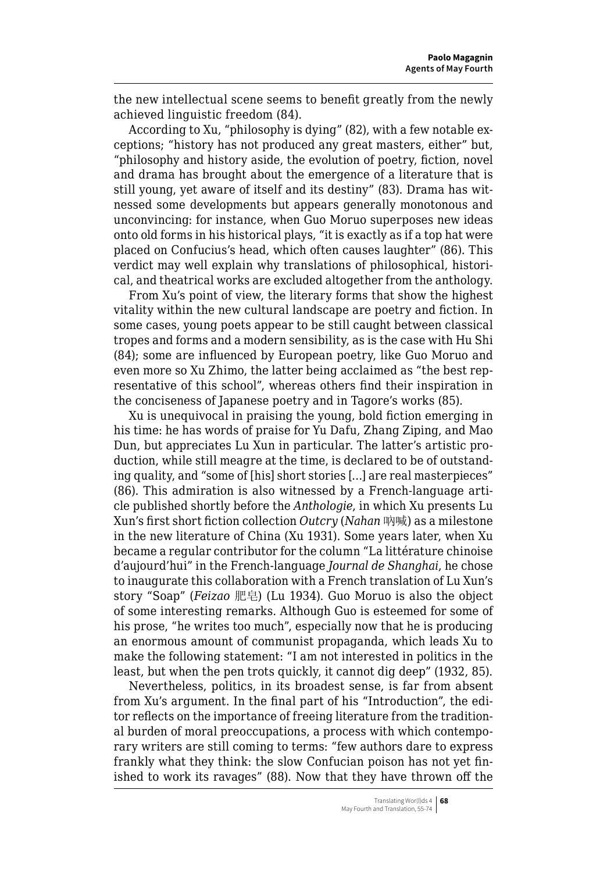the new intellectual scene seems to benefit greatly from the newly achieved linguistic freedom (84).

According to Xu, "philosophy is dying" (82), with a few notable exceptions; "history has not produced any great masters, either" but, "philosophy and history aside, the evolution of poetry, fiction, novel and drama has brought about the emergence of a literature that is still young, yet aware of itself and its destiny" (83). Drama has witnessed some developments but appears generally monotonous and unconvincing: for instance, when Guo Moruo superposes new ideas onto old forms in his historical plays, "it is exactly as if a top hat were placed on Confucius's head, which often causes laughter" (86). This verdict may well explain why translations of philosophical, historical, and theatrical works are excluded altogether from the anthology.

From Xu's point of view, the literary forms that show the highest vitality within the new cultural landscape are poetry and fiction. In some cases, young poets appear to be still caught between classical tropes and forms and a modern sensibility, as is the case with Hu Shi (84); some are influenced by European poetry, like Guo Moruo and even more so Xu Zhimo, the latter being acclaimed as "the best representative of this school", whereas others find their inspiration in the conciseness of Japanese poetry and in Tagore's works (85).

Xu is unequivocal in praising the young, bold fiction emerging in his time: he has words of praise for Yu Dafu, Zhang Ziping, and Mao Dun, but appreciates Lu Xun in particular. The latter's artistic production, while still meagre at the time, is declared to be of outstanding quality, and "some of [his] short stories […] are real masterpieces" (86). This admiration is also witnessed by a French-language article published shortly before the *Anthologie*, in which Xu presents Lu Xun's first short fiction collection *Outcry* (*Nahan* 吶喊) as a milestone in the new literature of China (Xu 1931). Some years later, when Xu became a regular contributor for the column "La littérature chinoise d'aujourd'hui" in the French-language *Journal de Shanghai*, he chose to inaugurate this collaboration with a French translation of Lu Xun's story "Soap" (*Feizao* 肥皂) (Lu 1934). Guo Moruo is also the object of some interesting remarks. Although Guo is esteemed for some of his prose, "he writes too much", especially now that he is producing an enormous amount of communist propaganda, which leads Xu to make the following statement: "I am not interested in politics in the least, but when the pen trots quickly, it cannot dig deep" (1932, 85).

Nevertheless, politics, in its broadest sense, is far from absent from Xu's argument. In the final part of his "Introduction", the editor reflects on the importance of freeing literature from the traditional burden of moral preoccupations, a process with which contemporary writers are still coming to terms: "few authors dare to express frankly what they think: the slow Confucian poison has not yet finished to work its ravages" (88). Now that they have thrown off the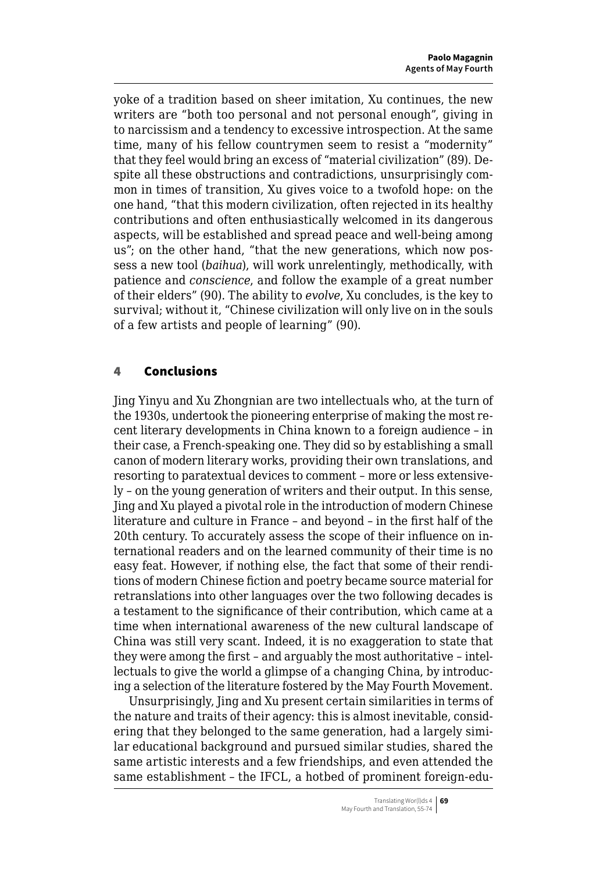<span id="page-14-0"></span>yoke of a tradition based on sheer imitation, Xu continues, the new writers are "both too personal and not personal enough", giving in to narcissism and a tendency to excessive introspection. At the same time, many of his fellow countrymen seem to resist a "modernity" that they feel would bring an excess of "material civilization" (89). Despite all these obstructions and contradictions, unsurprisingly common in times of transition, Xu gives voice to a twofold hope: on the one hand, "that this modern civilization, often rejected in its healthy contributions and often enthusiastically welcomed in its dangerous aspects, will be established and spread peace and well-being among us"; on the other hand, "that the new generations, which now possess a new tool (*baihua*), will work unrelentingly, methodically, with patience and *conscience*, and follow the example of a great number of their elders" (90). The ability to *evolve*, Xu concludes, is the key to survival; without it, "Chinese civilization will only live on in the souls of a few artists and people of learning" (90).

## 4 Conclusions

Jing Yinyu and Xu Zhongnian are two intellectuals who, at the turn of the 1930s, undertook the pioneering enterprise of making the most recent literary developments in China known to a foreign audience – in their case, a French-speaking one. They did so by establishing a small canon of modern literary works, providing their own translations, and resorting to paratextual devices to comment – more or less extensively – on the young generation of writers and their output. In this sense, Jing and Xu played a pivotal role in the introduction of modern Chinese literature and culture in France – and beyond – in the first half of the 20th century. To accurately assess the scope of their influence on international readers and on the learned community of their time is no easy feat. However, if nothing else, the fact that some of their renditions of modern Chinese fiction and poetry became source material for retranslations into other languages over the two following decades is a testament to the significance of their contribution, which came at a time when international awareness of the new cultural landscape of China was still very scant. Indeed, it is no exaggeration to state that they were among the first – and arguably the most authoritative – intellectuals to give the world a glimpse of a changing China, by introducing a selection of the literature fostered by the May Fourth Movement.

Unsurprisingly, Jing and Xu present certain similarities in terms of the nature and traits of their agency: this is almost inevitable, considering that they belonged to the same generation, had a largely similar educational background and pursued similar studies, shared the same artistic interests and a few friendships, and even attended the same establishment – the IFCL, a hotbed of prominent foreign-edu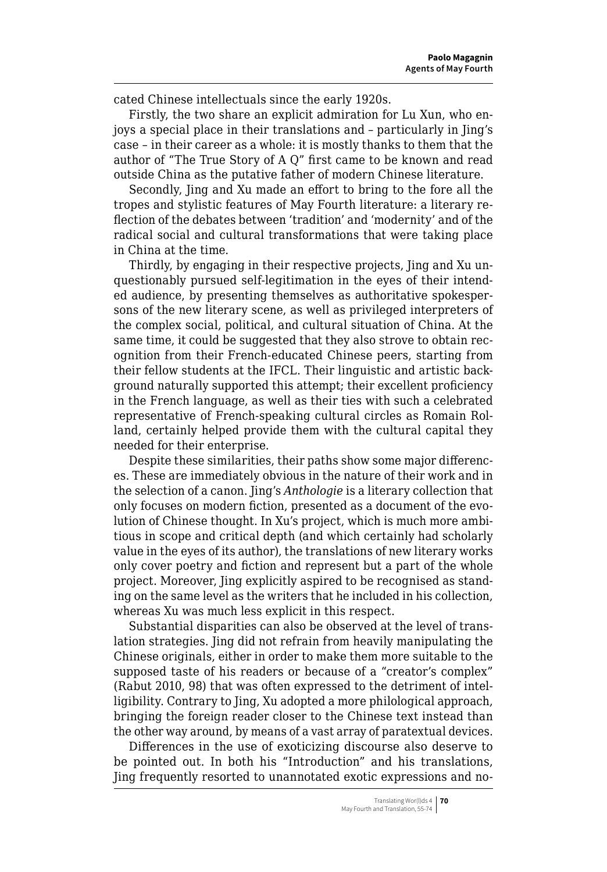cated Chinese intellectuals since the early 1920s.

Firstly, the two share an explicit admiration for Lu Xun, who enjoys a special place in their translations and – particularly in Jing's case – in their career as a whole: it is mostly thanks to them that the author of "The True Story of A Q" first came to be known and read outside China as the putative father of modern Chinese literature.

Secondly, Jing and Xu made an effort to bring to the fore all the tropes and stylistic features of May Fourth literature: a literary reflection of the debates between 'tradition' and 'modernity' and of the radical social and cultural transformations that were taking place in China at the time.

Thirdly, by engaging in their respective projects, Jing and Xu unquestionably pursued self-legitimation in the eyes of their intended audience, by presenting themselves as authoritative spokespersons of the new literary scene, as well as privileged interpreters of the complex social, political, and cultural situation of China. At the same time, it could be suggested that they also strove to obtain recognition from their French-educated Chinese peers, starting from their fellow students at the IFCL. Their linguistic and artistic background naturally supported this attempt; their excellent proficiency in the French language, as well as their ties with such a celebrated representative of French-speaking cultural circles as Romain Rolland, certainly helped provide them with the cultural capital they needed for their enterprise.

Despite these similarities, their paths show some major differences. These are immediately obvious in the nature of their work and in the selection of a canon. Jing's *Anthologie* is a literary collection that only focuses on modern fiction, presented as a document of the evolution of Chinese thought. In Xu's project, which is much more ambitious in scope and critical depth (and which certainly had scholarly value in the eyes of its author), the translations of new literary works only cover poetry and fiction and represent but a part of the whole project. Moreover, Jing explicitly aspired to be recognised as standing on the same level as the writers that he included in his collection, whereas Xu was much less explicit in this respect.

Substantial disparities can also be observed at the level of translation strategies. Jing did not refrain from heavily manipulating the Chinese originals, either in order to make them more suitable to the supposed taste of his readers or because of a "creator's complex" (Rabut 2010, 98) that was often expressed to the detriment of intelligibility. Contrary to Jing, Xu adopted a more philological approach, bringing the foreign reader closer to the Chinese text instead than the other way around, by means of a vast array of paratextual devices.

Differences in the use of exoticizing discourse also deserve to be pointed out. In both his "Introduction" and his translations, Jing frequently resorted to unannotated exotic expressions and no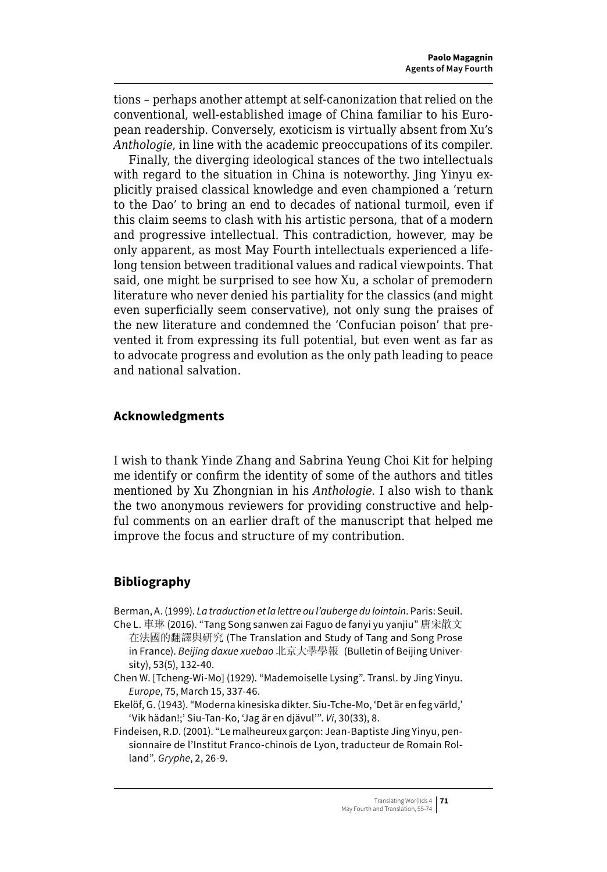tions – perhaps another attempt at self-canonization that relied on the conventional, well-established image of China familiar to his European readership. Conversely, exoticism is virtually absent from Xu's *Anthologie*, in line with the academic preoccupations of its compiler.

Finally, the diverging ideological stances of the two intellectuals with regard to the situation in China is noteworthy. Jing Yinyu explicitly praised classical knowledge and even championed a 'return to the Dao' to bring an end to decades of national turmoil, even if this claim seems to clash with his artistic persona, that of a modern and progressive intellectual. This contradiction, however, may be only apparent, as most May Fourth intellectuals experienced a lifelong tension between traditional values and radical viewpoints. That said, one might be surprised to see how Xu, a scholar of premodern literature who never denied his partiality for the classics (and might even superficially seem conservative), not only sung the praises of the new literature and condemned the 'Confucian poison' that prevented it from expressing its full potential, but even went as far as to advocate progress and evolution as the only path leading to peace and national salvation.

## **Acknowledgments**

I wish to thank Yinde Zhang and Sabrina Yeung Choi Kit for helping me identify or confirm the identity of some of the authors and titles mentioned by Xu Zhongnian in his *Anthologie*. I also wish to thank the two anonymous reviewers for providing constructive and helpful comments on an earlier draft of the manuscript that helped me improve the focus and structure of my contribution.

## **Bibliography**

Berman, A. (1999). *La traduction et la lettre ou l'auberge du lointain*. Paris: Seuil.

- Che L. 車琳 (2016). "Tang Song sanwen zai Faguo de fanyi yu yanjiu" 唐宋散文 在法國的翻譯與研究 (The Translation and Study of Tang and Song Prose in France). *Beijing daxue xuebao* 北京大學學報 (Bulletin of Beijing University), 53(5), 132-40.
- Chen W. [Tcheng-Wi-Mo] (1929). "Mademoiselle Lysing". Transl. by Jing Yinyu. *Europe*, 75, March 15, 337-46.
- Ekelöf, G. (1943). "Moderna kinesiska dikter. Siu-Tche-Mo, 'Det är en feg värld,' 'Vik hädan!;' Siu-Tan-Ko, 'Jag är en djävul'". *Vi*, 30(33), 8.

Findeisen, R.D. (2001). "Le malheureux garçon: Jean-Baptiste Jing Yinyu, pensionnaire de l'Institut Franco-chinois de Lyon, traducteur de Romain Rolland". *Gryphe*, 2, 26-9.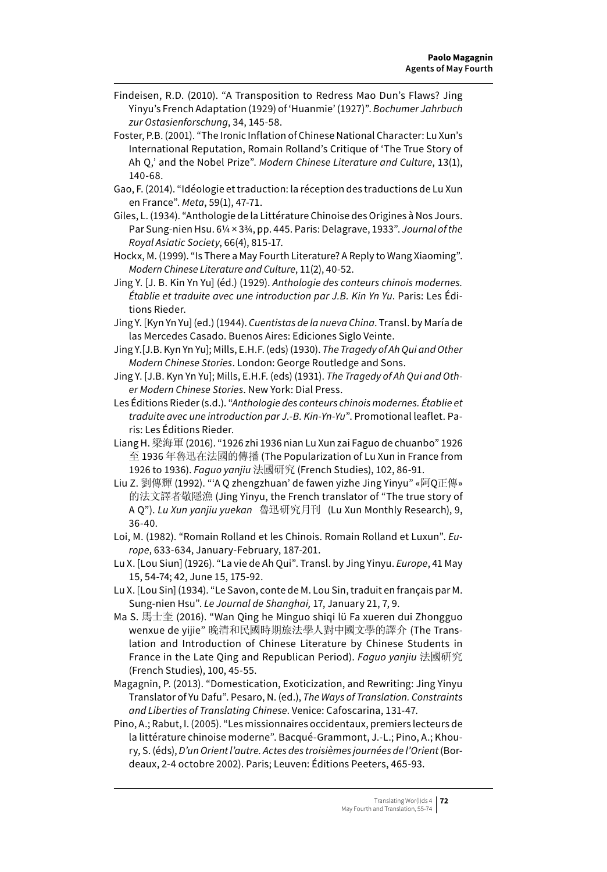- Findeisen, R.D. (2010). "A Transposition to Redress Mao Dun's Flaws? Jing Yinyu's French Adaptation (1929) of 'Huanmie' (1927)". *Bochumer Jahrbuch zur Ostasienforschung*, 34, 145-58.
- Foster, P.B. (2001). "The Ironic Inflation of Chinese National Character: Lu Xun's International Reputation, Romain Rolland's Critique of 'The True Story of Ah Q,' and the Nobel Prize". *Modern Chinese Literature and Culture*, 13(1), 140-68.
- Gao, F. (2014). "Idéologie et traduction: la réception des traductions de Lu Xun en France". *Meta*, 59(1), 47-71.
- Giles, L. (1934). "Anthologie de la Littérature Chinoise des Origines à Nos Jours. Par Sung-nien Hsu. 6¼ × 3¾, pp. 445. Paris: Delagrave, 1933". *Journal of the Royal Asiatic Society*, 66(4), 815-17.
- Hockx, M. (1999). "Is There a May Fourth Literature? A Reply to Wang Xiaoming". *Modern Chinese Literature and Culture*, 11(2), 40-52.
- Jing Y. [J. B. Kin Yn Yu] (éd.) (1929). *Anthologie des conteurs chinois modernes. Établie et traduite avec une introduction par J.B. Kin Yn Yu*. Paris: Les Éditions Rieder.
- Jing Y. [Kyn Yn Yu] (ed.) (1944). *Cuentistas de la nueva China*. Transl. by María de las Mercedes Casado. Buenos Aires: Ediciones Siglo Veinte.
- Jing Y.[J.B. Kyn Yn Yu]; Mills, E.H.F. (eds) (1930). *The Tragedy of Ah Qui and Other Modern Chinese Stories*. London: George Routledge and Sons.
- Jing Y. [J.B. Kyn Yn Yu]; Mills, E.H.F. (eds) (1931). *The Tragedy of Ah Qui and Other Modern Chinese Stories*. New York: Dial Press.
- Les Éditions Rieder (s.d.). "*Anthologie des conteurs chinois modernes. Établie et traduite avec une introduction par J.-B. Kin-Yn-Yu*". Promotional leaflet. Paris: Les Éditions Rieder.
- Liang H. 梁海軍 (2016). "1926 zhi 1936 nian Lu Xun zai Faguo de chuanbo" 1926 至 1936 年魯迅在法國的傳播 (The Popularization of Lu Xun in France from 1926 to 1936). *Faguo yanjiu* 法國研究 (French Studies), 102, 86-91.
- Liu Z. 劉傳輝 (1992). "'A Q zhengzhuan' de fawen yizhe Jing Yinyu" «阿Q正傳» 的法文譯者敬隱漁 (Jing Yinyu, the French translator of "The true story of A Q"). *Lu Xun yanjiu yuekan* 魯迅研究月刊 (Lu Xun Monthly Research), 9, 36-40.
- Loi, M. (1982). "Romain Rolland et les Chinois. Romain Rolland et Luxun". *Europe*, 633-634, January-February, 187-201.
- Lu X. [Lou Siun] (1926). "La vie de Ah Qui". Transl. by Jing Yinyu. *Europe*, 41 May 15, 54-74; 42, June 15, 175-92.
- Lu X. [Lou Sin] (1934). "Le Savon, conte de M. Lou Sin, traduit en français par M. Sung-nien Hsu". *Le Journal de Shanghai,* 17, January 21, 7, 9.
- Ma S. 馬士奎 (2016). "Wan Qing he Minguo shiqi lü Fa xueren dui Zhongguo wenxue de yijie" 晚清和民國時期旅法學人對中國文學的譯介 (The Translation and Introduction of Chinese Literature by Chinese Students in France in the Late Qing and Republican Period). *Faguo yanjiu* 法國研究 (French Studies), 100, 45-55.
- Magagnin, P. (2013). "Domestication, Exoticization, and Rewriting: Jing Yinyu Translator of Yu Dafu". Pesaro, N. (ed.), *The Ways of Translation. Constraints and Liberties of Translating Chinese*. Venice: Cafoscarina, 131-47.
- Pino, A.; Rabut, I. (2005). "Les missionnaires occidentaux, premiers lecteurs de la littérature chinoise moderne". Bacqué-Grammont, J.-L.; Pino, A.; Khoury, S. (éds), *D'un Orient l'autre. Actes des troisièmes journées de l'Orient* (Bordeaux, 2-4 octobre 2002). Paris; Leuven: Éditions Peeters, 465-93.